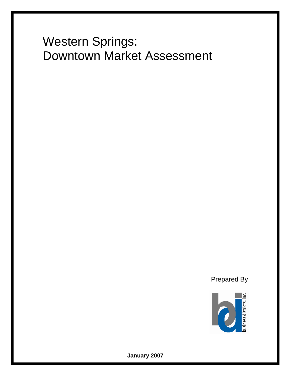# Western Springs: Downtown Market Assessment

Prepared By



**January 2007**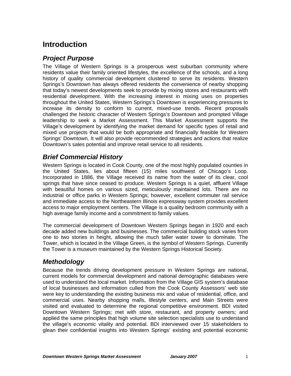# **Introduction**

## *Project Purpose*

The Village of Western Springs is a prosperous west suburban community where residents value their family oriented lifestyles, the excellence of the schools, and a long history of quality commercial development clustered to serve its residents. Western Springs's Downtown has always offered residents the convenience of nearby shopping that today's newest developments seek to provide by mixing stores and restaurants with residential development. With the increasing interest in mixing uses on properties throughout the United States, Western Springs's Downtown is experiencing pressures to increase its density to conform to current, mixed-use trends. Recent proposals challenged the historic character of Western Springs's Downtown and prompted Village leadership to seek a Market Assessment. This Market Assessment supports the Village's development by identifying the market demand for specific types of retail and mixed use projects that would be both appropriate and financially feasible for Western Springs' Downtown. It will also provide recommended strategies and actions that realize Downtown's sales potential and improve retail service to all residents.

#### *Brief Commercial History*

Western Springs is located in Cook County, one of the most highly populated counties in the United States, lies about fifteen (15) miles southwest of Chicago's Loop. Incorporated in 1886, the Village received its name from the water of its clear, cool springs that have since ceased to produce. Western Springs is a quiet, affluent Village with beautiful homes on various sized, meticulously maintained lots. There are no industrial or office parks in Western Springs; however, excellent commuter rail service and immediate access to the Northeastern Illinois expressway system provides excellent access to major employment centers. The Village is a quality bedroom community with a high average family income and a commitment to family values.

The commercial development of Downtown Western Springs began in 1920 and each decade added new buildings and businesses. The commercial building stock varies from one to two stories in height, allowing the much taller water tower to dominate. The Tower, which is located in the Village Green, is the symbol of Western Springs. Currently the Tower is a museum maintained by the Western Springs Historical Society.

#### *Methodology*

Because the trends driving development pressure in Western Springs are national, current models for commercial development and national demographic databases were used to understand the local market. Information from the Village GIS system's database of local businesses and information culled from the Cook County Assessors' web site were key to understanding the existing business mix and value of residential, office, and commercial uses. Nearby shopping malls, lifestyle centers, and Main Streets were visited and evaluated to determine the regional competitive environment. BDI visited Downtown Western Springs; met with store, restaurant, and property owners; and applied the same principles that high volume site selection specialists use to understand the village's economic vitality and potential. BDI interviewed over 15 stakeholders to glean their confidential insights into Western Springs' existing and potential economic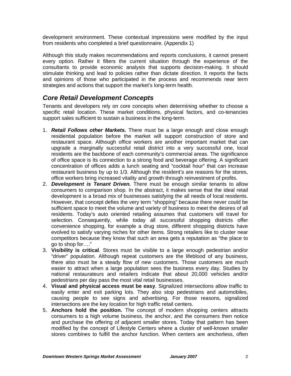development environment. These contextual impressions were modified by the input from residents who completed a brief questionnaire. (Appendix 1)

Although this study makes recommendations and reports conclusions, it cannot present every option. Rather it filters the current situation through the experience of the consultants to provide economic analysis that supports decision-making. It should stimulate thinking and lead to policies rather than dictate direction. It reports the facts and opinions of those who participated in the process and recommends near term strategies and actions that support the market's long-term health.

#### *Core Retail Development Concepts*

Tenants and developers rely on core concepts when determining whether to choose a specific retail location. These market conditions, physical factors, and co-tenancies support sales sufficient to sustain a business in the long-term.

- 1. *Retail Follows other Markets.* There must be a large enough and close enough residential population before the market will support construction of store and restaurant space. Although office workers are another important market that can upgrade a marginally successful retail district into a very successful one, local residents are the backbone of each community's commercial areas. The significance of office space is its connection to a strong food and beverage offering. A significant concentration of offices adds a lunch seating and "cocktail hour" that can increase restaurant business by up to 1/3. Although the resident's are reasons for the stores, office workers bring increased vitality and growth through reinvestment of profits.
- 2. *Development is Tenant Driven.* There must be enough similar tenants to allow consumers to comparison shop. In the abstract, it makes sense that the ideal retail development is a broad mix of businesses satisfying the all needs of local residents. However, that concept defies the very term "shopping" because there never could be sufficient space to meet the volume and variety of business to meet the desires of all residents. Today's auto oriented retailing assumes that customers will travel for selection. Consequently, while today all successful shopping districts offer convenience shopping, for example a drug store, different shopping districts have evolved to satisfy varying niches for other items. Strong retailers like to cluster near competitors because they know that such an area gets a reputation as "the place to go to shop for…."
- 3. **Visibility is critical**. Stores must be visible to a large enough pedestrian and/or "driver" population. Although repeat customers are the lifeblood of any business, there also must be a steady flow of new customers. Those customers are much easier to attract when a large population sees the business every day. Studies by national restaurateurs and retailers indicate that about 20,000 vehicles and/or pedestrians per day pass the most vital retail businesses.
- 4. **Visual and physical access must be easy**. Signalized intersections allow traffic to easily enter and exit parking lots. They also stop pedestrians and automobiles, causing people to see signs and advertising. For those reasons, signalized intersections are the key location for high traffic retail centers.
- 5. **Anchors hold the position.** The concept of modern shopping centers attracts consumers to a high volume business, the anchor, and the consumers then notice and purchase the offering of adjacent smaller stores. Today that pattern has been modified by the concept of Lifestyle Centers where a cluster of well-known smaller stores combines to fulfill the anchor function. When centers are anchorless, often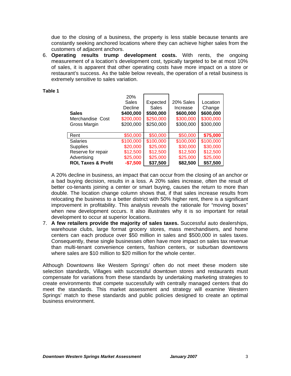due to the closing of a business, the property is less stable because tenants are constantly seeking anchored locations where they can achieve higher sales from the customers of adjacent anchors.

6. **Operating results trump development costs.** With rents, the ongoing measurement of a location's development cost, typically targeted to be at most 10% of sales, it is apparent that other operating costs have more impact on a store or restaurant's success. As the table below reveals, the operation of a retail business is extremely sensitive to sales variation.

| <b>Sales</b><br>Merchandise Cost<br>Gross Margin | 20%<br><b>Sales</b><br>Decline<br>\$400,000<br>\$200,000<br>\$200,000 | Expected<br>Sales<br>\$500,000<br>\$250,000<br>\$250,000 | 20% Sales<br>Increase<br>\$600,000<br>\$300,000<br>\$300,000 | Location<br>Change<br>\$600,000<br>\$300,000<br>\$300,000 |
|--------------------------------------------------|-----------------------------------------------------------------------|----------------------------------------------------------|--------------------------------------------------------------|-----------------------------------------------------------|
| Rent                                             | \$50,000                                                              | \$50,000                                                 | \$50,000                                                     | \$75,000                                                  |
| <b>Salaries</b>                                  | \$100,000                                                             | \$100,000                                                | \$100,000                                                    | \$100,000                                                 |
| <b>Supplies</b>                                  | \$20,000                                                              | \$25,000                                                 | \$30,000                                                     | \$30,000                                                  |
| Reserve for repair                               | \$12,500                                                              | \$12,500                                                 | \$12,500                                                     | \$12,500                                                  |
| Advertising                                      | \$25,000                                                              | \$25,000                                                 | \$25,000                                                     | \$25,000                                                  |
| <b>ROI, Taxes &amp; Profit</b>                   | $-$7,500$                                                             | \$37,500                                                 | \$82,500                                                     | \$57,500                                                  |

#### **Table 1**

A 20% decline in business, an impact that can occur from the closing of an anchor or a bad buying decision, results in a loss. A 20% sales increase, often the result of better co-tenants joining a center or smart buying, causes the return to more than double. The location change column shows that, if that sales increase results from relocating the business to a better district with 50% higher rent, there is a significant improvement in profitability. This analysis reveals the rationale for "moving boxes" when new development occurs. It also illustrates why it is so important for retail development to occur at superior locations.

7. **A few retailers provide the majority of sales taxes.** Successful auto dealerships, warehouse clubs, large format grocery stores, mass merchandisers, and home centers can each produce over \$50 million in sales and \$500,000 in sales taxes. Consequently, these single businesses often have more impact on sales tax revenue than multi-tenant convenience centers, fashion centers, or suburban downtowns where sales are \$10 million to \$20 million for the whole center.

Although Downtowns like Western Springs' often do not meet these modern site selection standards, Villages with successful downtown stores and restaurants must compensate for variations from these standards by undertaking marketing strategies to create environments that compete successfully with centrally managed centers that do meet the standards. This market assessment and strategy will examine Western Springs' match to these standards and public policies designed to create an optimal business environment.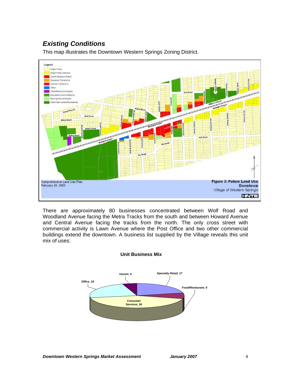## *Existing Conditions*

This map illustrates the Downtown Western Springs Zoning District.



There are approximately 80 businesses concentrated between Wolf Road and Woodland Avenue facing the Metra Tracks from the south and between Howard Avenue and Central Avenue facing the tracks from the north. The only cross street with commercial activity is Lawn Avenue where the Post Office and two other commercial buildings extend the downtown. A business list supplied by the Village reveals this unit mix of uses:



#### **Unit Business Mix**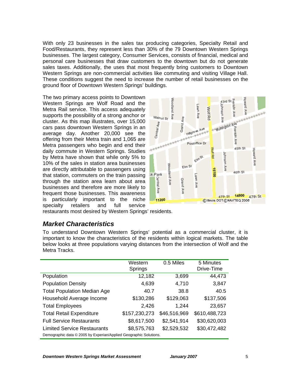With only 23 businesses in the sales tax producing categories, Specialty Retail and Food/Restaurants, they represent less than 30% of the 79 Downtown Western Springs businesses. The largest category, Consumer Services, consists of financial, medical and personal care businesses that draw customers to the downtown but do not generate sales taxes. Additionally, the uses that most frequently bring customers to Downtown Western Springs are non-commercial activities like commuting and visiting Village Hall. These conditions suggest the need to increase the number of retail businesses on the ground floor of Downtown Western Springs' buildings.

The two primary access points to Downtown Western Springs are Wolf Road and the Metra Rail service. This access adequately supports the possibility of a strong anchor or cluster. As this map illustrates, over 15,000 cars pass downtown Western Springs in an average day. Another 20,000 see the offering from their Metra train and 1,065 are Metra passengers who begin and end their daily commute in Western Springs. Studies by Metra have shown that while only 5% to 10% of the sales in station area businesses are directly attributable to passengers using that station, commuters on the train passing through the station area learn about area businesses and therefore are more likely to frequent those businesses. This awareness is particularly important to the niche specialty retailers and full service



restaurants most desired by Western Springs' residents.

#### *Market Characteristics*

To understand Downtown Western Springs' potential as a commercial cluster, it is important to know the characteristics of the residents within logical markets. The table below looks at three populations varying distances from the intersection of Wolf and the Metra Tracks.

|                                                                   | Western<br>Springs | 0.5 Miles    | 5 Minutes<br>Drive-Time |  |  |  |
|-------------------------------------------------------------------|--------------------|--------------|-------------------------|--|--|--|
| Population                                                        | 12,182             | 3,699        | 44,473                  |  |  |  |
| <b>Population Density</b>                                         | 4,639              | 4,710        | 3,847                   |  |  |  |
| <b>Total Population Median Age</b>                                | 40.7               | 38.8         | 40.5                    |  |  |  |
| Household Average Income                                          | \$130,286          | \$129,063    | \$137,506               |  |  |  |
| <b>Total Employees</b>                                            | 2,426              | 1,244        | 23,657                  |  |  |  |
| <b>Total Retail Expenditure</b>                                   | \$157,230,273      | \$46,516,969 | \$610,488,723           |  |  |  |
| <b>Full Service Restaurants</b>                                   | \$8,617,500        | \$2,541,914  | \$30,620,003            |  |  |  |
| <b>Limited Service Restaurants</b>                                | \$8,575,763        | \$2,529,532  | \$30,472,482            |  |  |  |
| Demographic data © 2005 by Experian/Applied Geographic Solutions. |                    |              |                         |  |  |  |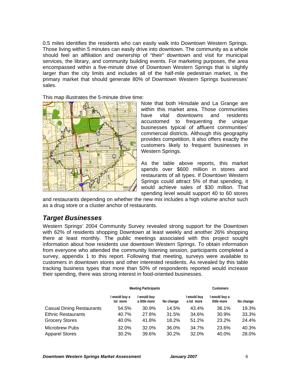0.5 miles identifies the residents who can easily walk into Downtown Western Springs. Those living within 5 minutes can easily drive into downtown. The community as a whole should feel an affiliation and ownership of "their" downtown and visit for municipal services, the library, and community building events. For marketing purposes, the area encompassed within a five-minute drive of Downtown Western Springs that is slightly larger than the city limits and includes all of the half-mile pedestrian market, is the primary market that should generate 80% of Downtown Western Springs businesses' sales.

This map illustrates the 5-minute drive time:



Note that both Hinsdale and La Grange are within this market area. Those communities have vital downtowns and residents accustomed to frequenting the unique businesses typical of affluent communities' commercial districts. Although this geography provides competition, it also offers exactly the customers likely to frequent businesses in Western Springs.

As the table above reports, this market spends over \$600 million in stores and restaurants of all types. If Downtown Western Springs could attract 5% of that spending, it would achieve sales of \$30 million. That spending level would support 40 to 60 stores

and restaurants depending on whether the new mix includes a high volume anchor such as a drug store or a cluster anchor of restaurants.

#### *Target Businesses*

Western Springs' 2004 Community Survey revealed strong support for the Downtown with 62% of residents shopping Downtown at least weekly and another 26% shopping there at least monthly. The public meetings associated with this project sought information about how residents use downtown Western Springs. To obtain information from everyone who attended the community listening session, participants completed a survey, appendix 1 to this report. Following that meeting, surveys were available to customers in downtown stores and other interested residents. As revealed by this table tracking business types that more than 50% of respondents reported would increase their spending, there was strong interest in food-oriented businesses.

|                                                | <b>Meeting Participants</b> |                              |                |                           | <b>Customers</b>             |                |
|------------------------------------------------|-----------------------------|------------------------------|----------------|---------------------------|------------------------------|----------------|
|                                                | would buy a<br>lot more     | I would buy<br>a little more | No change      | I would buy<br>a lot more | l would buy a<br>little more | No change      |
| <b>Casual Dining Restaurants</b>               | 54.5%                       | 30.9%                        | 14.5%          | 43.4%                     | 36.1%                        | 19.3%          |
| <b>Ethnic Restaurants</b>                      | 40.7%                       | 27.8%                        | 31.5%          | 34.6%                     | 30.9%                        | 33.3%          |
| <b>Grocery Stores</b>                          | 40.0%                       | 41.8%                        | 18.2%          | 51.2%                     | 23.2%                        | 24.4%          |
| <b>Microbrew Pubs</b><br><b>Apparel Stores</b> | 32.0%<br>30.2%              | 32.0%<br>39.6%               | 36.0%<br>30.2% | 34.7%<br>32.0%            | 23.6%<br>40.0%               | 40.3%<br>28.0% |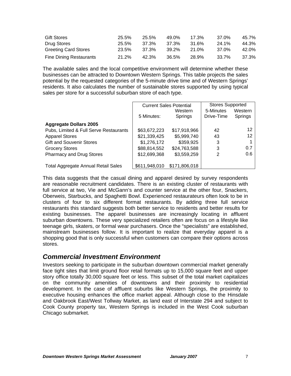| <b>Gift Stores</b>             | 25.5% | 25.5% | 49.0% | 17.3%        | 37.0% | 45.7% |
|--------------------------------|-------|-------|-------|--------------|-------|-------|
| Drug Stores                    | 25.5% | 37.3% | 37.3% | 31.6%        | 24.1% | 44.3% |
| <b>Greeting Card Stores</b>    | 23.5% | 37.3% | 39.2% | <b>21.0%</b> | 37.0% | 42.0% |
| <b>Fine Dining Restaurants</b> | 21.2% | 42.3% | 36.5% | 28.9%        | 33.7% | 37.3% |

The available sales and the local competitive environment will determine whether these businesses can be attracted to Downtown Western Springs. This table projects the sales potential by the requested categories of the 5-minute drive time and of Western Springs' residents. It also calculates the number of sustainable stores supported by using typical sales per store for a successful suburban store of each type.

|                                            |               | <b>Current Sales Potential</b> | <b>Stores Supported</b> |         |
|--------------------------------------------|---------------|--------------------------------|-------------------------|---------|
|                                            |               | Western                        | 5-Minutes               | Western |
|                                            | 5 Minutes:    | Springs                        | Drive-Time              | Springs |
| <b>Aggregate Dollars 2005</b>              |               |                                |                         |         |
| Pubs, Limited & Full Serve Restaurants     | \$63,672,223  | \$17,918,966                   | 42                      | 12      |
| <b>Apparel Stores</b>                      | \$21,339,425  | \$5,999,740                    | 43                      | 12      |
| <b>Gift and Souvenir Stores</b>            | \$1,276,172   | \$359,925                      | 3                       |         |
| <b>Grocery Stores</b>                      | \$88,814,552  | \$24,763,588                   | 3                       | 0.7     |
| <b>Pharmacy and Drug Stores</b>            | \$12,699,368  | \$3,559,259                    | 2                       | 0.6     |
|                                            |               |                                |                         |         |
| <b>Total Aggregate Annual Retail Sales</b> | \$611,948,010 | \$171,806,018                  |                         |         |

This data suggests that the casual dining and apparel desired by survey respondents are reasonable recruitment candidates. There is an existing cluster of restaurants with full service at two, Vie and McGann's and counter service at the other four, Snackers, Oberweis, Starbucks, and Spaghetti Bowl. Experienced restaurateurs often look to be in clusters of four to six different format restaurants. By adding three full service restaurants this standard suggests both better service to residents and better results for existing businesses. The apparel businesses are increasingly locating in affluent suburban downtowns. These very specialized retailers often are focus on a lifestyle like teenage girls, skaters, or formal wear purchasers. Once the "specialists" are established, mainstream businesses follow. It is important to realize that everyday apparel is a shopping good that is only successful when customers can compare their options across stores.

#### *Commercial Investment Environment*

Investors seeking to participate in the suburban downtown commercial market generally face tight sites that limit ground floor retail formats up to 15,000 square feet and upper story office totally 30,000 square feet or less. This subset of the total market capitalizes on the community amenities of downtowns and their proximity to residential development. In the case of affluent suburbs like Western Springs, the proximity to executive housing enhances the office market appeal. Although close to the Hinsdale and Oakbrook East/West Tollway Market, as land east of Interstate 294 and subject to Cook County property tax, Western Springs is included in the West Cook suburban Chicago submarket.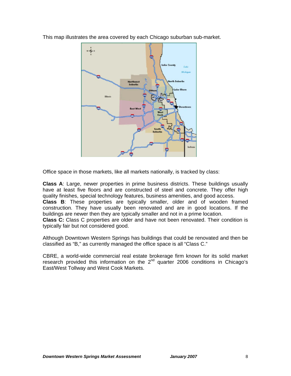This map illustrates the area covered by each Chicago suburban sub-market.



Office space in those markets, like all markets nationally, is tracked by class:

**Class A**: Large, newer properties in prime business districts. These buildings usually have at least five floors and are constructed of steel and concrete. They offer high quality finishes, special technology features, business amenities, and good access. **Class B**: These properties are typically smaller, older and of wooden framed construction. They have usually been renovated and are in good locations. If the buildings are newer then they are typically smaller and not in a prime location.

**Class C:** Class C properties are older and have not been renovated. Their condition is typically fair but not considered good.

Although Downtown Western Springs has buildings that could be renovated and then be classified as "B," as currently managed the office space is all "Class C."

CBRE, a world-wide commercial real estate brokerage firm known for its solid market research provided this information on the 2<sup>nd</sup> quarter 2006 conditions in Chicago's East/West Tollway and West Cook Markets.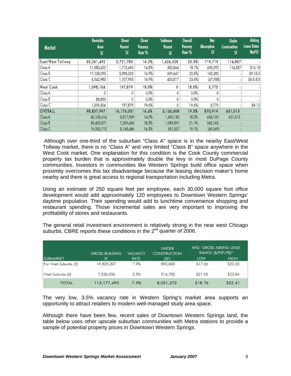| <b>Market</b>      | Rentable<br>Area<br>SF | <b>Direct</b><br>Vacant<br><b>SF</b> | <b>Direct</b><br>Vacancy<br>Rate % | Sublease<br>Vacant<br><b>SF</b> | <b>Overall</b><br>Vacancy<br>Rate % | <b>Net</b><br><b>Absorption</b><br><b>SF</b> | <b>Under</b><br><b>Construction</b><br>SF | <b>Asking</b><br><b>Lease Rates</b><br>Net/SF |
|--------------------|------------------------|--------------------------------------|------------------------------------|---------------------------------|-------------------------------------|----------------------------------------------|-------------------------------------------|-----------------------------------------------|
| East/West Tollway  | 35,261,492             | 5,721,783                            | 16.2%                              | 1,426,328                       | 20.3%                               | 719,719                                      | 114,857                                   |                                               |
| Class A            | 11,580,422             | 1,715,496                            | 14.8%                              | 382,864                         | 18.1%                               | 605,292                                      | 114,857                                   | \$16-18                                       |
| Class B            | 17,138,090             | 2,898,332                            | 16.9%                              | 609,647                         | 20.5%                               | 162,385                                      |                                           | \$9-13.5                                      |
| Class C            | 6,542,980              | 1,107,955                            | 16.9%                              | 433,817                         | 23.6%                               | (47,958)                                     | ۰                                         | \$6.5-8.5                                     |
| West Cook          | 1,098,104              | 197,879                              | 18.0%                              | 0                               | 18.0%                               | 3,775                                        |                                           |                                               |
| Class A            | 0                      | 0                                    | $0.0\%$                            | 0                               | 0.0%                                | 0                                            |                                           |                                               |
| Class B            | 88,800                 | 0                                    | $0.0\%$                            | 0                               | 0.0%                                | 0                                            |                                           |                                               |
| Class C            | 1,009,304              | 197,879                              | 19.6%                              | 0                               | 19.6%                               | 3,775                                        |                                           | \$8-12                                        |
| OVERALL            | 98,837,997             | 16,176,031                           | 16.4%                              | 3,134,608                       | 19.5%                               | 870,919                                      | 431,013                                   |                                               |
| Class A            | 40,108,414             | 5,817,939                            | 14.5%                              | 1,493,180                       | 18.2%                               | 658,125                                      | 431,013                                   |                                               |
| Class B            | 39,403,871             | 7,209,606                            | 18.3%                              | 1,089,891                       | 21.1%                               | 262,163                                      |                                           |                                               |
| Class <sub>C</sub> | 19,325,712             | 3,148,486                            | 16.3%                              | 551,537                         | 19.1%                               | (49, 369)                                    |                                           |                                               |

Although over one-third of the suburban "Class A" space is in the nearby East/West Tollway market, there is no "Class A" and very limited "Class B" space anywhere in the West Cook market. One explanation for this condition is the Cook County commercial property tax burden that is approximately double the levy in most DuPage County communities. Investors in communities like Western Springs build office space when proximity overcomes this tax disadvantage because the leasing decision maker's home nearby and there is great access to regional transportation including Metra.

Using an estimate of 250 square feet per employee, each 30,000 square foot office development would add approximately 120 employees to Downtown Western Springs' daytime population. Their spending would add to lunchtime convenience shopping and restaurant spending. Those incremental sales are very important to improving the profitability of stores and restaurants.

The general retail investment environment is relatively strong in the near west Chicago suburbs. CBRE reports these conditions in the  $2<sup>nd</sup>$  quarter of 2006.

|                      | <b>GROSS BUILDING</b> | <b>VACANCY</b> | <b>UNDER</b><br><b>CONSTRUCTION</b> | AVG. GROSS ASKING LEASE<br>RANGE (\$/PSF/YR)* |             |
|----------------------|-----------------------|----------------|-------------------------------------|-----------------------------------------------|-------------|
| <b>SUBMARKET</b>     | <b>SF</b>             | <b>RATE</b>    | (SF)                                | LOW                                           | <b>HIGH</b> |
| Far West Suburbs (5) | 19,825,307            | 7.9%           | 890,000                             | \$17.06                                       | \$20.20     |
| West Suburbs (6)     | 7,536,056             | 3.5%           | 314,703                             | \$21.05                                       | \$23.84     |
| <b>TOTAL</b>         | 113, 177, 493         | 7.5%           | 8,051,072                           | \$18.76                                       | \$22.41     |

The very low, 3.5% vacancy rate in Western Spring's market area supports an opportunity to attract retailers to modern well-managed study area space.

Although there have been few, recent sales of Downtown Western Springs land, the table below uses other upscale suburban communities with Metra stations to provide a sample of potential property prices in Downtown Western Springs.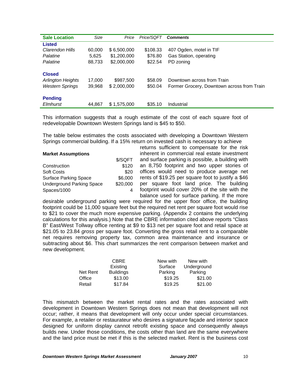| <b>Sale Location</b>                                                | Size             | Price                    | Price/SQFT         | <b>Comments</b>                                                          |
|---------------------------------------------------------------------|------------------|--------------------------|--------------------|--------------------------------------------------------------------------|
| <b>Listed</b>                                                       |                  |                          |                    |                                                                          |
| Clarendon Hills                                                     | 60,000           | \$6,500,000              | \$108.33           | 407 Ogden, motel in TIF                                                  |
| Palatine                                                            | 5,625            | \$1,200,000              | \$76.80            | Gas Station, operating                                                   |
| Palatine                                                            | 88,733           | \$2,000,000              | \$22.54            | PD zoning                                                                |
| <b>Closed</b><br><b>Arlington Heights</b><br><b>Western Springs</b> | 17,000<br>39.968 | \$987,500<br>\$2,000,000 | \$58.09<br>\$50.04 | Downtown across from Train<br>Former Grocery, Downtown across from Train |
| <b>Pending</b><br>Elmhurst                                          | 44,867           | \$1,575,000              | \$35.10            | Industrial                                                               |

This information suggests that a rough estimate of the cost of each square foot of redevelopable Downtown Western Springs land is \$45 to \$50.

The table below estimates the costs associated with developing a Downtown Western Springs commercial building. If a 15% return on invested cash is necessary to achieve

| <b>Market Assumptions</b>        |          |  |  |  |
|----------------------------------|----------|--|--|--|
|                                  | \$/SQFT  |  |  |  |
| Construction                     | \$120    |  |  |  |
| <b>Soft Costs</b>                | \$20     |  |  |  |
| <b>Surface Parking Space</b>     | \$6,000  |  |  |  |
| <b>Underground Parking Space</b> | \$20,000 |  |  |  |
| Spaces/1000                      |          |  |  |  |

returns sufficient to compensate for the risk inherent in commercial real estate investment and surface parking is possible, a building with an 8,750 footprint and two upper stories of offices would need to produce average net rents of \$19.25 per square foot to justify a \$46 per square foot land price. The building footprint would cover 20% of the site with the balance used for surface parking. If the more

desirable underground parking were required for the upper floor office, the building footprint could be 11,000 square feet but the required net rent per square foot would rise to \$21 to cover the much more expensive parking. (Appendix 2 contains the underlying calculations for this analysis.) Note that the CBRE information cited above reports "Class B" East/West Tollway office renting at \$9 to \$13 net per square foot and retail space at \$21.05 to 23.84 *gross* per square foot. Converting the gross retail rent to a comparable net requires removing property tax, common area maintenance and insurance or subtracting about \$6. This chart summarizes the rent comparison between market and new development.

|          | <b>CBRE</b>      | New with | New with    |
|----------|------------------|----------|-------------|
|          | Existing         | Surface  | Underground |
| Net Rent | <b>Buildings</b> | Parking  | Parking     |
| Office   | \$13.00          | \$19.25  | \$21.00     |
| Retail   | \$17.84          | \$19.25  | \$21.00     |

This mismatch between the market rental rates and the rates associated with development in Downtown Western Springs does not mean that development will not occur; rather, it means that development will only occur under special circumstances. For example, a retailer or restaurateur who desires a signature façade and interior space designed for uniform display cannot retrofit existing space and consequently always builds new. Under those conditions, the costs other than land are the same everywhere and the land price must be met if this is the selected market. Rent is the business cost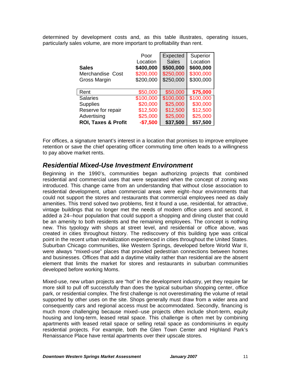determined by development costs and, as this table illustrates, operating issues, particularly sales volume, are more important to profitability than rent.

|                                | Poor      | Expected     | Superior  |
|--------------------------------|-----------|--------------|-----------|
|                                | Location  | <b>Sales</b> | Location  |
| <b>Sales</b>                   | \$400,000 | \$500,000    | \$600,000 |
| Merchandise Cost               | \$200,000 | \$250,000    | \$300,000 |
| Gross Margin                   | \$200,000 | \$250,000    | \$300,000 |
|                                |           |              |           |
| Rent                           | \$50,000  | \$50,000     | \$75,000  |
| <b>Salaries</b>                | \$100,000 | \$100,000    | \$100,000 |
| <b>Supplies</b>                | \$20,000  | \$25,000     | \$30,000  |
| Reserve for repair             | \$12,500  | \$12,500     | \$12,500  |
| Advertising                    | \$25,000  | \$25,000     | \$25,000  |
| <b>ROI, Taxes &amp; Profit</b> | $-$7,500$ | \$37,500     | \$57,500  |

For offices, a signature tenant's interest in a location that promises to improve employee retention or save the chief operating officer commuting time often leads to a willingness to pay above market rents.

#### *Residential Mixed-Use Investment Environment*

Beginning in the 1990's, communities began authorizing projects that combined residential and commercial uses that were separated when the concept of zoning was introduced. This change came from an understanding that without close association to residential development, urban commercial areas were eight--hour environments that could not support the stores and restaurants that commercial employees need as daily amenities. This trend solved two problems, first it found a use, residential, for attractive, vintage buildings that no longer met the needs of modern office users and second, it added a 24--hour population that could support a shopping and dining cluster that could be an amenity to both residents and the remaining employees. The concept is nothing new. This typology with shops at street level, and residential or office above, was created in cities throughout history. The rediscovery of this building type was critical point in the recent urban revitalization experienced in cities throughout the United States. Suburban Chicago communities, like Western Springs, developed before World War II, were always "mixed-use" places that provided pedestrian connections between homes and businesses. Offices that add a daytime vitality rather than residential are the absent element that limits the market for stores and restaurants in suburban communities developed before working Moms.

Mixed-use, new urban projects are "hot" in the development industry, yet they require far more skill to pull off successfully than does the typical suburban shopping center, office park, or residential complex. The first challenge is not overestimating the volume of retail supported by other uses on the site. Shops generally must draw from a wider area and consequently cars and regional access must be accommodated. Secondly, financing is much more challenging because mixed--use projects often include short-term, equity housing and long-term, leased retail space. This challenge is often met by combining apartments with leased retail space or selling retail space as condominiums in equity residential projects. For example, both the Glen Town Center and Highland Park's Renaissance Place have rental apartments over their upscale stores.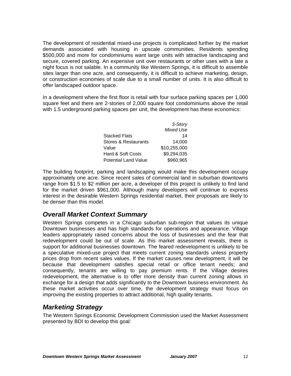The development of residential mixed-use projects is complicated further by the market demands associated with housing in upscale communities. Residents spending \$500,000 and more for condominiums want large units with attractive landscaping and secure, covered parking. An expensive unit over restaurants or other uses with a late a night focus is not salable. In a community like Western Springs, it is difficult to assemble sites larger than one acre, and consequently, it is difficult to achieve marketing, design, or construction economies of scale due to a small number of units. It is also difficult to offer landscaped outdoor space.

In a development where the first floor is retail with four surface parking spaces per 1,000 square feet and there are 2-stories of 2,000 square foot condominiums above the retail with 1.5 underground parking spaces per unit, the development has these economics:

|                             | 3-Story          |
|-----------------------------|------------------|
|                             | <b>Mixed Use</b> |
| <b>Stacked Flats</b>        | 14               |
| Stores & Restaurants        | 14.000           |
| Value                       | \$10,255,000     |
| Hard & Soft Costs           | \$9,294,035      |
| <b>Potential Land Value</b> | \$960,965        |

The building footprint, parking and landscaping would make this development occupy approximately one acre. Since recent sales of commercial land in suburban downtowns range from \$1.5 to \$2 million per acre, a developer of this project is unlikely to find land for the market driven \$961,000. Although many developers will continue to express interest in the desirable Western Springs residential market, their proposals are likely to be denser than this model.

#### *Overall Market Context Summary*

Western Springs competes in a Chicago suburban sub-region that values its unique Downtown businesses and has high standards for operations and appearance. Village leaders appropriately raised concerns about the loss of businesses and the fear that redevelopment could be out of scale. As this market assessment reveals, there is support for additional businesses downtown. The feared redevelopment is unlikely to be a speculative mixed-use project that meets current zoning standards unless property prices drop from recent sales values. If the market causes new development, it will be because that development satisfies special retail or office tenant needs; and consequently, tenants are willing to pay premium rents. If the Village desires redevelopment, the alternative is to offer more density than current zoning allows in exchange for a design that adds significantly to the Downtown business environment. As these market activities occur over time, the development strategy must focus on improving the existing properties to attract additional, high quality tenants.

## *Marketing Strategy*

The Western Springs Economic Development Commission used the Market Assessment presented by BDI to develop this goal: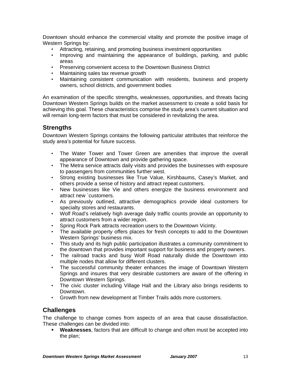Downtown should enhance the commercial vitality and promote the positive image of Western Springs by:

- Attracting, retaining, and promoting business investment opportunities
- Improving and maintaining the appearance of buildings, parking, and public areas
- Preserving convenient access to the Downtown Business District
- Maintaining sales tax revenue growth
- Maintaining consistent communication with residents, business and property owners, school districts, and government bodies

An examination of the specific strengths, weaknesses, opportunities, and threats facing Downtown Western Springs builds on the market assessment to create a solid basis for achieving this goal. These characteristics comprise the study area's current situation and will remain long-term factors that must be considered in revitalizing the area.

#### **Strengths**

Downtown Western Springs contains the following particular attributes that reinforce the study area's potential for future success.

- The Water Tower and Tower Green are amenities that improve the overall appearance of Downtown and provide gathering space.
- The Metra service attracts daily visits and provides the businesses with exposure to passengers from communities further west.
- Strong existing businesses like True Value, Kirshbaums, Casey's Market, and others provide a sense of history and attract repeat customers.
- New businesses like Vie and others energize the business environment and attract new `customers.
- As previously outlined, attractive demographics provide ideal customers for specialty stores and restaurants.
- Wolf Road's relatively high average daily traffic counts provide an opportunity to attract customers from a wider region.
- Spring Rock Park attracts recreation users to the Downtown Vicinty.
- The available property offers places for fresh concepts to add to the Downtown Western Springs' business mix.
- This study and its high public participation illustrates a community commitment to the downtown that provides important support for business and property owners.
- The railroad tracks and busy Wolf Road naturally divide the Downtown into multiple nodes that allow for different clusters.
- The successful community theater enhances the image of Downtown Western Springs and insures that very desirable customers are aware of the offering in Downtown Western Springs.
- The civic cluster including Village Hall and the Library also brings residents to Downtown.
- Growth from new development at Timber Trails adds more customers.

#### **Challenges**

The challenge to change comes from aspects of an area that cause dissatisfaction. These challenges can be divided into:

 **Weaknesses**, factors that are difficult to change and often must be accepted into the plan;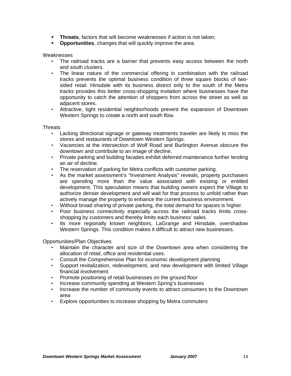- **Threats**, factors that will become weaknesses if action is not taken;
- **Opportunities**, changes that will quickly improve the area.

Weaknesses

- The railroad tracks are a barrier that prevents easy access between the north and south clusters.
- The linear nature of the commercial offering in combination with the railroad tracks prevents the optimal business condition of three square blocks of twosided retail. Hinsdale with its business district only to the south of the Metra tracks provides this better cross-shopping invitation where businesses have the opportunity to catch the attention of shoppers from across the street as well as adjacent stores.
- Attractive, tight residential neighborhoods prevent the expansion of Downtown Western Springs to create a north and south flow.

**Threats** 

- Lacking directional signage or gateway treatments traveler are likely to miss the stores and restaurants of Downtown Western Springs.
- Vacancies at the intersection of Wolf Road and Burlington Avenue obscure the downtown and contribute to an image of decline.
- Private parking and building facades exhibit deferred maintenance further lending an air of decline.
- The reservation of parking for Metra conflicts with customer parking.
- As the market assessment's "Investment Analysis" reveals, property purchasers are spending more than the value associated with existing or entitled development. This speculation means that building owners expect the Village to authorize denser development and will wait for that process to unfold rather than actively manage the property to enhance the current business environment.
- Without broad sharing of private parking, the total demand for spaces is higher.
- Poor business connectivity especially across the railroad tracks limits crossshopping by customers and thereby limits each business' sales.
- Its more regionally known neighbors, LaGrange and Hinsdale, overshadow Western Springs. This condition makes it difficult to attract new businesses.

Opportunities/Plan Objectives

- Maintain the character and size of the Downtown area when considering the allocation of retail, office and residential uses.
- Consult the Comprehensive Plan for economic development planning
- Support revitalization, redevelopment, and new development with limited Village financial involvement
- Promote positioning of retail businesses on the ground floor
- Increase community spending at Western Spring's businesses
- Increase the number of community events to attract consumers to the Downtown area
- Explore opportunities to increase shopping by Metra commuters